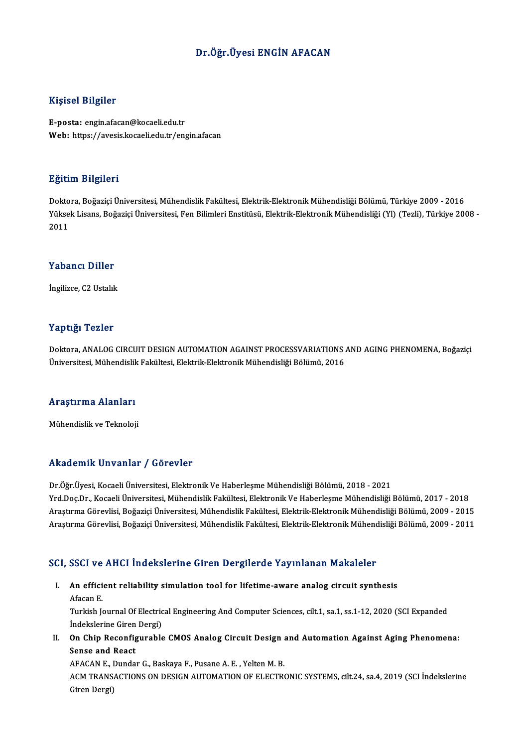### Dr.Öğr.Üyesi ENGİN AFACAN

### Kişisel Bilgiler

E-posta: engin.afacan@kocaeli.edu.tr Web: https://avesis.kocaeli.edu.tr/engin.afacan

### Eğitim Bilgileri

**Eğitim Bilgileri**<br>Doktora, Boğaziçi Üniversitesi, Mühendislik Fakültesi, Elektrik-Elektronik Mühendisliği Bölümü, Türkiye 2009 - 2016<br>Yüksek Lisans, Boğaziçi Üniversitesi, Een Bilimleri Enstitüsü, Elektrik Elektronik Mühe Yüksek Lisans, Boğaziçi Üniversitesi, Fen Bilimleri Enstitüsü, Elektrik-Elektronik Mühendisliği (Yl) (Tezli), Türkiye 2008 -<br>2011 Dokto<br>Yükse<br>2011

### Yabancı Diller

İngilizce, C2 Ustalık

### Yaptığı Tezler

Yaptığı Tezler<br>Doktora, ANALOG CIRCUIT DESIGN AUTOMATION AGAINST PROCESSVARIATIONS AND AGING PHENOMENA, Boğaziçi<br>Üniversitesi Mühandislik Fakültesi, Flaktrik Elektronik Mühandisliği Bölümü, 2016 1 üp eses 1 olitos<br>Doktora, ANALOG CIRCUIT DESIGN AUTOMATION AGAINST PROCESSVARIATIONS ,<br>Üniversitesi, Mühendislik Fakültesi, Elektrik-Elektronik Mühendisliği Bölümü, 2016

## oniversitesi, munentiisiik<br>Araştırma Alanları <mark>Araştırma Alanları</mark><br>Mühendislik ve Teknoloji

## Mühendislik ve Teknoloji<br>Akademik Unvanlar / Görevler

Dr.Öğr.Üyesi,KocaeliÜniversitesi,ElektronikVeHaberleşmeMühendisliğiBölümü,2018 -2021 Yrd.Doç.Dr.,KocaeliÜniversitesi,MühendislikFakültesi,ElektronikVeHaberleşmeMühendisliğiBölümü,2017 -2018 Dr.Öğr.Üyesi, Kocaeli Üniversitesi, Elektronik Ve Haberleşme Mühendisliği Bölümü, 2018 - 2021<br>Yrd.Doç.Dr., Kocaeli Üniversitesi, Mühendislik Fakültesi, Elektronik Ve Haberleşme Mühendisliği Bölümü, 2017 - 2018<br>Araştırma Gö Yrd.Doç.Dr., Kocaeli Üniversitesi, Mühendislik Fakültesi, Elektronik Ve Haberleşme Mühendisliği Bölümü, 2017 - 2018<br>Araştırma Görevlisi, Boğaziçi Üniversitesi, Mühendislik Fakültesi, Elektrik-Elektronik Mühendisliği Bölümü

# Araşurma Göreviisi, Bogaziçi öniversitesi, Münendislik Fakultesi, Elektrik-Elektronik Münend<br>SCI, SSCI ve AHCI İndekslerine Giren Dergilerde Yayınlanan Makaleler

CI, SSCI ve AHCI İndekslerine Giren Dergilerde Yayınlanan Makaleler<br>I. An efficient reliability simulation tool for lifetime-aware analog circuit synthesis<br>Afasan F I. An efficient reliability simulation tool for lifetime-aware analog circuit synthesis<br>Afacan E. An efficient reliability simulation tool for lifetime-aware analog circuit synthesis<br>Afacan E.<br>Turkish Journal Of Electrical Engineering And Computer Sciences, cilt.1, sa.1, ss.1-12, 2020 (SCI Expanded<br>Indekslerine Ciren D Afacan E.<br>Turkish Journal Of Electric<br>İndekslerine Giren Dergi)<br>On Chin Bosonfigurahle

Turkish Journal Of Electrical Engineering And Computer Sciences, cilt.1, sa.1, ss.1-12, 2020 (SCI Expanded<br>Indekslerine Giren Dergi)<br>II. On Chip Reconfigurable CMOS Analog Circuit Design and Automation Against Aging Phenom

Indekslerine Giren<br>On Chip Reconfig<br>Sense and React<br>AEACAN E Dunde On Chip Reconfigurable CMOS Analog Circuit Design<br>Sense and React<br>AFACANE., Dundar G., Baskaya F., Pusane A.E., Yelten M.B.<br>ACM TRANSACTIONS ON DESIGN AUTOMATION OF ELECTR

AFACAN E., Dundar G., Baskaya F., Pusane A. E., Yelten M. B.

Sense and React<br>AFACAN E., Dundar G., Baskaya F., Pusane A. E. , Yelten M. B.<br>ACM TRANSACTIONS ON DESIGN AUTOMATION OF ELECTRONIC SYSTEMS, cilt.24, sa.4, 2019 (SCI İndekslerine<br>Giren Dergi)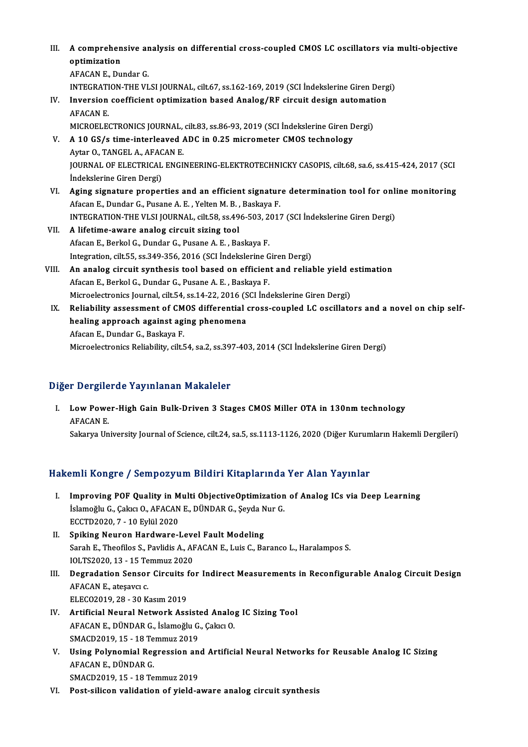| III.  | A comprehensive analysis on differential cross-coupled CMOS LC oscillators via multi-objective<br>optimization |
|-------|----------------------------------------------------------------------------------------------------------------|
|       | AFACAN E, Dundar G                                                                                             |
|       | INTEGRATION-THE VLSI JOURNAL, cilt.67, ss.162-169, 2019 (SCI Indekslerine Giren Dergi)                         |
| IV.   | Inversion coefficient optimization based Analog/RF circuit design automation<br><b>AFACAN E.</b>               |
|       | MICROELECTRONICS JOURNAL, cilt.83, ss.86-93, 2019 (SCI Indekslerine Giren Dergi)                               |
| V.    | A 10 GS/s time-interleaved ADC in 0.25 micrometer CMOS technology                                              |
|       | Aytar O., TANGEL A., AFACAN E.                                                                                 |
|       | JOURNAL OF ELECTRICAL ENGINEERING-ELEKTROTECHNICKY CASOPIS, cilt.68, sa.6, ss.415-424, 2017 (SCI               |
|       | Indekslerine Giren Dergi)                                                                                      |
| VI.   | Aging signature properties and an efficient signature determination tool for online monitoring                 |
|       | Afacan E., Dundar G., Pusane A. E., Yelten M. B., Baskaya F.                                                   |
|       | INTEGRATION-THE VLSI JOURNAL, cilt.58, ss.496-503, 2017 (SCI Indekslerine Giren Dergi)                         |
| VII.  | A lifetime-aware analog circuit sizing tool                                                                    |
|       | Afacan E., Berkol G., Dundar G., Pusane A. E., Baskaya F.                                                      |
|       | Integration, cilt.55, ss.349-356, 2016 (SCI Indekslerine Giren Dergi)                                          |
| VIII. | An analog circuit synthesis tool based on efficient and reliable yield estimation                              |
|       | Afacan E., Berkol G., Dundar G., Pusane A. E., Baskaya F.                                                      |
|       | Microelectronics Journal, cilt.54, ss.14-22, 2016 (SCI Indekslerine Giren Dergi)                               |
| IX.   | Reliability assessment of CMOS differential cross-coupled LC oscillators and a novel on chip self-             |
|       | healing approach against aging phenomena                                                                       |
|       | Afacan E., Dundar G., Baskaya F.                                                                               |
|       | Microelectronics Reliability, cilt.54, sa.2, ss.397-403, 2014 (SCI İndekslerine Giren Dergi)                   |

### Diğer Dergilerde Yayınlanan Makaleler

Iger Dergilerde Yayınlanan Makaleler<br>I. Low Power-High Gain Bulk-Driven 3 Stages CMOS Miller OTA in 130nm technology<br>AEACAN E **Let Burgers**<br>**AFACAN E.<br>Selectre** Un AFACAN E.<br>Sakarya University Journal of Science, cilt.24, sa.5, ss.1113-1126, 2020 (Diğer Kurumların Hakemli Dergileri)

### Hakemli Kongre / Sempozyum Bildiri Kitaplarında Yer Alan Yayınlar

- I. Improving POF Quality in Multi ObjectiveOptimization of Analog ICs via Deep Learning Islam Itoligi o 7 Sompozyum Dituri Interpretintud<br>Improving POF Quality in Multi ObjectiveOptimization<br>İslamoğlu G., Çakıcı O., AFACAN E., DÜNDAR G., Şeyda Nur G. Improving POF Quality in M<br>İslamoğlu G., Çakıcı O., AFACAN<br>ECCTD2020, 7 - 10 Eylül 2020<br>Sniking Nouron Hardware I Islamoğlu G., Çakıcı O., AFACAN E., DÜNDAR G., Şeyda N<br>ECCTD2020, 7 - 10 Eylül 2020<br>II. Spiking Neuron Hardware-Level Fault Modeling<br>Sarah E. Theofiles S. Baylidis A. AEACAN E. Luis G. Ba
- ECCTD2020, 7 10 Eylül 2020<br>Spiking Neuron Hardware-Level Fault Modeling<br>Sarah E., Theofilos S., Pavlidis A., AFACAN E., Luis C., Baranco L., Haralampos S.<br>IOLTS2020, 12 15 Temmus 2020 Spiking Neuron Hardware-Leve<br>Sarah E., Theofilos S., Pavlidis A., AF<br>IOLTS2020, 13 - 15 Temmuz 2020<br>Desredation Sanson Ginevits fo
- Sarah E., Theofilos S., Pavlidis A., AFACAN E., Luis C., Baranco L., Haralampos S.<br>IOLTS2020, 13 15 Temmuz 2020<br>III. Degradation Sensor Circuits for Indirect Measurements in Reconfigurable Analog Circuit Design **IOLTS2020, 13 - 15 Te<br>Degradation Sensor<br>AFACAN E., ateşavcı c.<br>ELECO2010, 28 - 20 K Degradation Sensor Circuits 1<br>AFACAN E., ateşavcı c.<br>ELECO2019, 28 - 30 Kasım 2019<br>Artificial Noural Natuark Ass** AFACAN E., ateşavcı c.<br>ELECO2019, 28 - 30 Kasım 2019<br>IV. Artificial Neural Network Assisted Analog IC Sizing Tool
- ELECO2019, 28 30 Kasım 2019<br>Artificial Neural Network Assisted Analo<sub>i</sub><br>AFACAN E., DÜNDAR G., İslamoğlu G., Çakıcı O.<br>SMACD2019, 15 18 Temmuz 2019 Artificial Neural Network Assist<br>AFACAN E., DÜNDAR G., İslamoğlu G.<br>SMACD2019, 15 - 18 Temmuz 2019<br>Heing Bolunomial Bogression an
- AFACAN E., DÜNDAR G., İslamoğlu G., Çakıcı O.<br>SMACD2019, 15 18 Temmuz 2019<br>V. Using Polynomial Regression and Artificial Neural Networks for Reusable Analog IC Sizing<br>AFACAN E. DÜNDAR C SMACD2019, 15 - 18 Temmuz 2019<br>Using Polynomial Regression an<br>AFACAN E., DÜNDAR G.<br>SMACD2019, 15 - 18 Temmuz 2019 Using Polynomial Regression an<br>AFACAN E., DÜNDAR G.<br>SMACD2019, 15 - 18 Temmuz 2019<br>Post silison validation of viald a
- VI. Post-silicon validation of yield-aware analog circuit synthesis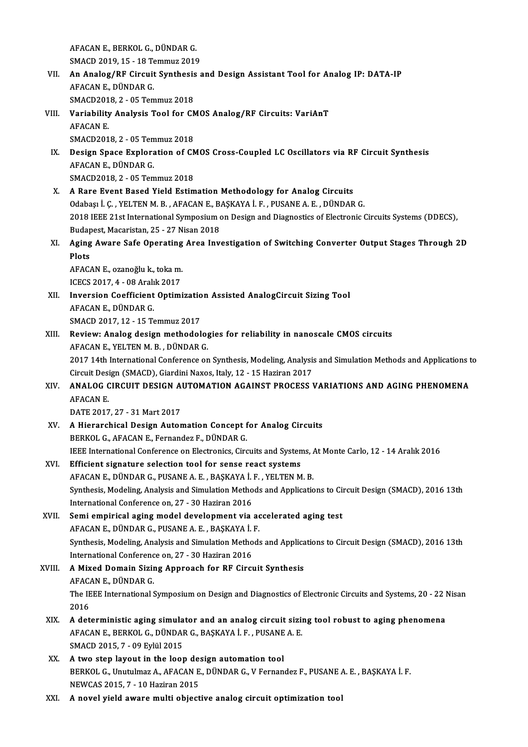AFACAN E., BERKOL G., DÜNDAR G.<br>SMACD 2010, 15 – 19 Temmuz 2010 AFACAN E., BERKOL G., DÜNDAR G.<br>SMACD 2019, 15 - 18 Temmuz 2019<br>An Anglag (PE Ginquit Suntheqia q

AFACAN E., BERKOL G., DÜNDAR G.<br>SMACD 2019, 15 - 18 Temmuz 2019<br>VII. An Analog/RF Circuit Synthesis and Design Assistant Tool for Analog IP: DATA-IP<br>AFACAN E. DÜNDAR C SMACD 2019, 15 - 18 Temmuz 2019<br>An Analog/RF Circuit Synthesis<br>AFACAN E., DÜNDAR G.<br>SMACD2018, 2 - 05 Temmuz 2018 An Analog/RF Circuit Synthesis<br>AFACAN E., DÜNDAR G.<br>SMACD2018, 2 - 05 Temmuz 2018<br>Variability Analysis Tool for CA AFACAN E., DÜNDAR G.<br>SMACD2018, 2 - 05 Temmuz 2018<br>VIII. Variability Analysis Tool for CMOS Analog/RF Circuits: VariAnT<br>AFACAN E

- SMACD201<br>Variability<br>AFACAN E.<br>SMACD201 **Variability Analysis Tool for CN<br>AFACAN E.<br>SMACD2018, 2 - 05 Temmuz 2018<br>Dosian Space Exploration of CN** AFACAN E.<br>SMACD2018, 2 - 05 Temmuz 2018<br>IX. Design Space Exploration of CMOS Cross-Coupled LC Oscillators via RF Circuit Synthesis<br>AFACAN E. DÜNDAR C
- SMACD2018, 2 05 Tem<br>Design Space Explora<br>AFACAN E., DÜNDAR G.<br>SMACD2019, 2 05 Tem **Design Space Exploration of CN<br>AFACAN E., DÜNDAR G.<br>SMACD2018, 2 - 05 Temmuz 2018<br>A Bare Event Based Vield Estim** AFACAN E., DÜNDAR G.<br>SMACD2018, 2 - 05 Temmuz 2018<br>X. A Rare Event Based Yield Estimation Methodology for Analog Circuits
- Odabaşı İ.Ç., YELTENM.B., AFACANE., BAŞKAYA İ.F., PUSANE A.E., DÜNDAR G. A Rare Event Based Yield Estimation Methodology for Analog Circuits<br>Odabaşı İ. Ç. , YELTEN M. B. , AFACAN E., BAŞKAYA İ. F. , PUSANE A. E. , DÜNDAR G.<br>2018 IEEE 21st International Symposium on Design and Diagnostics of Ele Odabaşı İ. Ç. , YELTEN M. B. , AFACAN E., B.<br>2018 IEEE 21st International Symposium o<br>Budapest, Macaristan, 25 - 27 Nisan 2018<br>Aging Ayyane Safe Operating Anee Jay 2018 IEEE 21st International Symposium on Design and Diagnostics of Electronic Circuits Systems (DDECS),<br>Budapest, Macaristan, 25 - 27 Nisan 2018<br>XI. Aging Aware Safe Operating Area Investigation of Switching Converter Out
- Budapest, Macaristan, 25 27 Nisan 2018<br>Aging Aware Safe Operating Area Inv<br>Plots XI. Aging Aware Safe Operating Area Investigation of Switching Converter Output Stages Through 2D<br>Plots<br>AFACAN E., ozanoğlu k., tokam.<br>ICECS 2017. 4 - 08 Aralık 2017

AFACAN E., ozanoğlu k., toka m.

- AFACAN E., ozanoğlu k., toka m.<br>ICECS 2017, 4 08 Aralık 2017<br>XII. Inversion Coefficient Optimization Assisted AnalogCircuit Sizing Tool<br>AEACAN E. DÜNDAR G ICECS 2017, 4 - 08 Aralı<br>Inversion Coefficient<br>AFACAN E., DÜNDAR G.<br>SMACD 2017-12 - 15 T. Inversion Coefficient Optimizatio<br>AFACAN E., DÜNDAR G.<br>SMACD 2017, 12 - 15 Temmuz 2017<br>Boviewy Analog design methodol AFACAN E., DÜNDAR G.<br>SMACD 2017, 12 - 15 Temmuz 2017<br>XIII. Review: Analog design methodologies for reliability in nanoscale CMOS circuits<br>AFACAN E. YELTEN M. B., DÜNDAR C.
- SMACD 2017, 12 15 Temmuz 2017<br>Review: Analog design methodolog<br>AFACAN E., YELTEN M. B. , DÜNDAR G.<br>2017 14th International Conference on Review: Analog design methodologies for reliability in nanoscale CMOS circuits<br>AFACAN E., YELTEN M. B. , DÜNDAR G.<br>2017 14th International Conference on Synthesis, Modeling, Analysis and Simulation Methods and Applications AFACAN E., YELTEN M. B. , DÜNDAR G.<br>2017 14th International Conference on Synthesis, Modeling, Analysi:<br>Circuit Design (SMACD), Giardini Naxos, Italy, 12 - 15 Haziran 2017<br>ANALOC CIRCUIT DESICN AUTOMATION ACAINST PROCESS N
- 2017 14th International Conference on Synthesis, Modeling, Analysis and Simulation Methods and Applications t<br>Circuit Design (SMACD), Giardini Naxos, Italy, 12 15 Haziran 2017<br>XIV. ANALOG CIRCUIT DESIGN AUTOMATION AGAINS Circuit Design (SMACD), Giardini Naxos, Italy, 12 - 15 Haziran 2017<br>XIV. ANALOG CIRCUIT DESIGN AUTOMATION AGAINST PROCESS VARIATIONS AND AGING PHENOMENA<br>AFACAN E.

DATE2017,27 -31Mart2017

- AFACAN E.<br>DATE 2017, 27 31 Mart 2017<br>XV. A Hierarchical Design Automation Concept for Analog Circuits<br>RERVOL G AFACANE Fernander E. DÜNDAR G DATE 2017, 27 - 31 Mart 2017<br><mark>A Hierarchical Design Automation Concept f</mark><br>BERKOL G., AFACAN E., Fernandez F., DÜNDAR G.<br><sup>IEEE</sup> International Conference on Electronics *Circ* BERKOL G., AFACAN E., Fernandez F., DÜNDAR G.<br>IEEE International Conference on Electronics, Circuits and Systems, At Monte Carlo, 12 - 14 Aralık 2016 BERKOL G., AFACAN E., Fernandez F., DÜNDAR G.<br>IEEE International Conference on Electronics, Circuits and System<br>XVI. Efficient signature selection tool for sense react systems<br>AFACAN E. DÜNDAR C. BUSANE A. E. BASYAVA İ. E.
- IEEE International Conference on Electronics, Circuits and Systems, A<br>Efficient signature selection tool for sense react systems<br>AFACAN E., DÜNDAR G., PUSANE A. E. , BAŞKAYA İ. F. , YELTEN M. B.<br>Synthesis Medeling, Analysi Efficient signature selection tool for sense react systems<br>AFACAN E., DÜNDAR G., PUSANE A. E. , BAŞKAYA İ. F. , YELTEN M. B.<br>Synthesis, Modeling, Analysis and Simulation Methods and Applications to Circuit Design (SMACD), AFACAN E., DÜNDAR G., PUSANE A. E. , BAŞKAYA İ.<br>Synthesis, Modeling, Analysis and Simulation Metho<br>International Conference on, 27 - 30 Haziran 2016<br>Semi-ampirical asing model develepment via International Conference on, 27 - 30 Haziran 2016<br>XVII. Semi empirical aging model development via accelerated aging test
- International Conference on, 27 30 Haziran 2016<br>Semi empirical aging model development via ac<br>AFACAN E., DÜNDAR G., PUSANE A. E. , BAŞKAYA İ. F.<br>Synthesis Modeling, Analysis and Simulation Methods Synthesis, Modeling, Analysis and Simulation Methods and Applications to Circuit Design (SMACD), 2016 13th<br>International Conference on, 27 - 30 Haziran 2016 AFACAN E., DÜNDAR G., PUSANE A. E. , BAŞKAYA İ.<br>Synthesis, Modeling, Analysis and Simulation Metho<br>International Conference on, 27 - 30 Haziran 2016<br>A Mixed Domain Siging Annroach for BE Gircu Synthesis, Modeling, Analysis and Simulation Methods and Applica<br>International Conference on, 27 - 30 Haziran 2016<br>XVIII. A Mixed Domain Sizing Approach for RF Circuit Synthesis
- International Conference<br>**A Mixed Domain Sizir**<br>AFACAN E., DÜNDAR G.<br>The IEEE International S A Mixed Domain Sizing Approach for RF Circuit Synthesis<br>AFACAN E., DÜNDAR G.<br>The IEEE International Symposium on Design and Diagnostics of Electronic Circuits and Systems, 20 - 22 Nisan<br>2016 AFACA<br>The IE<br>2016 The IEEE International Symposium on Design and Diagnostics of Electronic Circuits and Systems, 20 - 22 I<br>2016<br>XIX. A deterministic aging simulator and an analog circuit sizing tool robust to aging phenomena<br>AEACAN E. BERKO
- 2016<br>A deterministic aging simulator and an analog circuit sizi:<br>AFACAN E., BERKOL G., DÜNDAR G., BAŞKAYA İ. F. , PUSANE A. E.<br>SMACD 2015 7 00 Erlül 2015 A deterministic aging simula<br>AFACAN E., BERKOL G., DÜNDAI<br>SMACD 2015, 7 - 09 Eylül 2015 AFACAN E., BERKOL G., DÜNDAR G., BAŞKAYA İ. F., PUSANE<br>SMACD 2015, 7 - 09 Eylül 2015<br>XX. A two step layout in the loop design automation tool<br>PERKOL G. Unutulmar A. AFACAN E. DÜNDAR G. V Fernen
- SMACD 2015, 7 09 Eylül 2015<br> **A two step layout in the loop design automation tool**<br>
BERKOL G., Unutulmaz A., AFACAN E., DÜNDAR G., V Fernandez F., PUSANE A. E. , BAŞKAYA İ. F.<br>
NEWCAS 2015, 7 10 Haziran 2015 A two step layout in the loop de:<br>BERKOL G., Unutulmaz A., AFACAN E<br>NEWCAS 2015, 7 - 10 Haziran 2015
- XXI. A novel yield aware multi objective analog circuit optimization tool